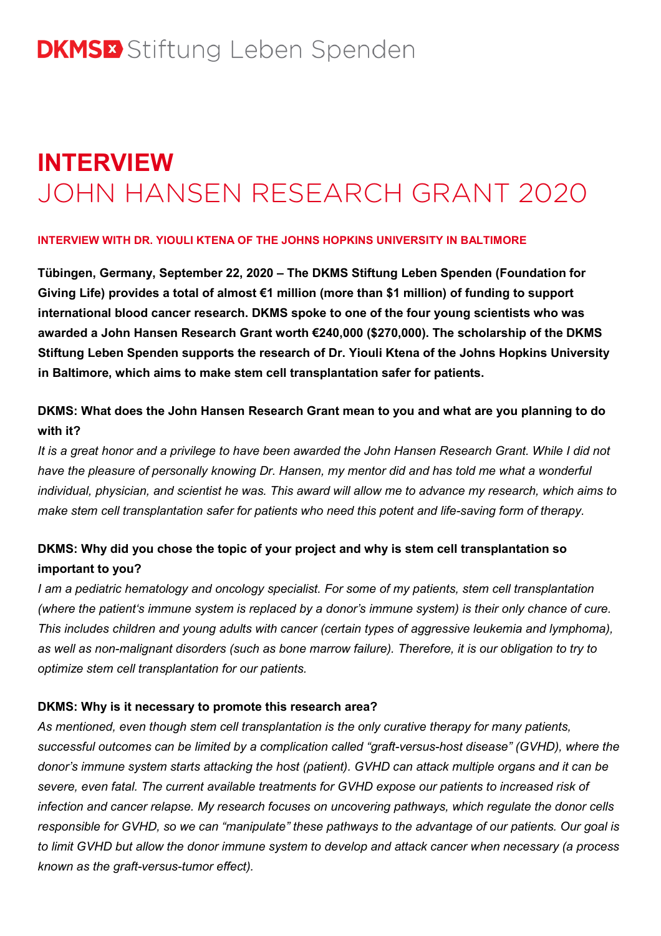# **INTERVIEW** JOHN HANSEN RESEARCH GRANT 2020

### **INTERVIEW WITH DR. YIOULI KTENA OF THE JOHNS HOPKINS UNIVERSITY IN BALTIMORE**

**Tübingen, Germany, September 22, 2020 – The DKMS Stiftung Leben Spenden (Foundation for Giving Life) provides a total of almost €1 million (more than \$1 million) of funding to support international blood cancer research. DKMS spoke to one of the four young scientists who was awarded a John Hansen Research Grant worth €240,000 (\$270,000). The scholarship of the DKMS Stiftung Leben Spenden supports the research of Dr. Yiouli Ktena of the Johns Hopkins University in Baltimore, which aims to make stem cell transplantation safer for patients.**

# **DKMS: What does the John Hansen Research Grant mean to you and what are you planning to do with it?**

It is a great honor and a privilege to have been awarded the John Hansen Research Grant. While I did not *have the pleasure of personally knowing Dr. Hansen, my mentor did and has told me what a wonderful* individual, physician, and scientist he was. This award will allow me to advance my research, which aims to *make stem cell transplantation safer for patients who need this potent and life-saving form of therapy.*

# **DKMS: Why did you chose the topic of your project and why is stem cell transplantation so important to you?**

*I am a pediatric hematology and oncology specialist. For some of my patients, stem cell transplantation* (where the patient's immune system is replaced by a donor's immune system) is their only chance of cure. *This includes children and young adults with cancer (certain types of aggressive leukemia and lymphoma),* as well as non-malignant disorders (such as bone marrow failure). Therefore, it is our obligation to try to *optimize stem cell transplantation for our patients.*

## **DKMS: Why is it necessary to promote this research area?**

*As mentioned, even though stem cell transplantation is the only curative therapy for many patients, successful outcomes can be limited by a complication called "graft-versus-host disease" (GVHD), where the donor's immune system starts attacking the host (patient). GVHD can attack multiple organs and it can be severe, even fatal. The current available treatments for GVHD expose our patients to increased risk of infection and cancer relapse. My research focuses on uncovering pathways, which regulate the donor cells* responsible for GVHD, so we can "manipulate" these pathways to the advantage of our patients. Our goal is to limit GVHD but allow the donor immune system to develop and attack cancer when necessary (a process *known as the graft-versus-tumor effect).*